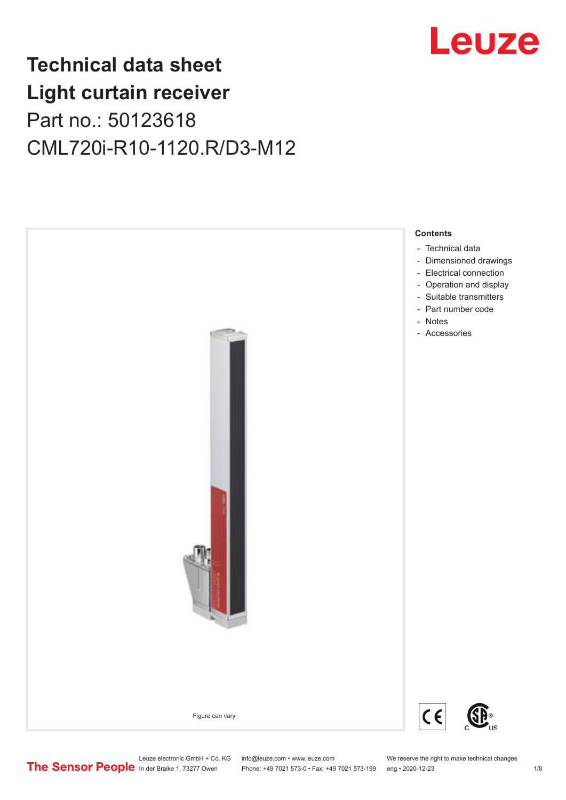# Leuze

# **Technical data sheet Light curtain receiver** Part no.: 50123618 CML720i-R10-1120.R/D3-M12



Leuze electronic GmbH + Co. KG info@leuze.com • www.leuze.com We reserve the right to make technical changes<br>
The Sensor People in der Braike 1, 73277 Owen Phone: +49 7021 573-0 • Fax: +49 7021 573-199 eng • 2020-12-23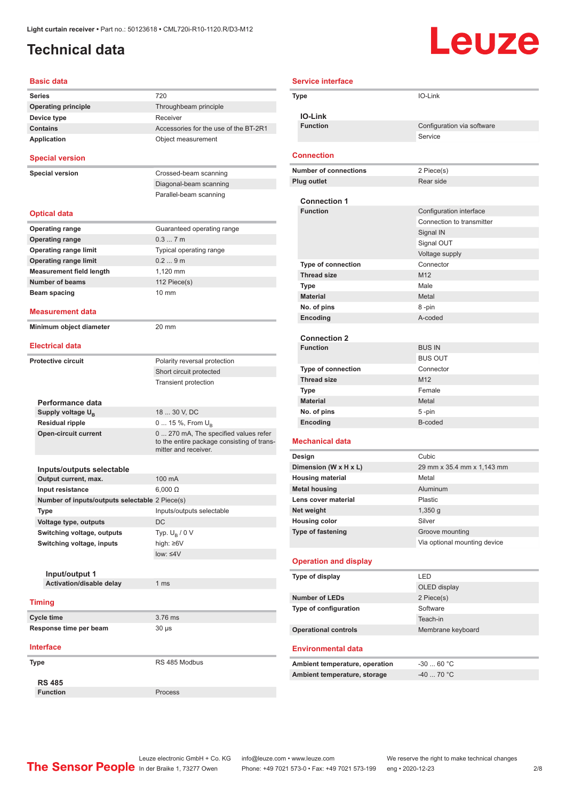### <span id="page-1-0"></span>**Technical data**

# Leuze

| <b>Basic data</b>                                 |                                                                                                             |
|---------------------------------------------------|-------------------------------------------------------------------------------------------------------------|
| Series                                            | 720                                                                                                         |
| <b>Operating principle</b>                        | Throughbeam principle                                                                                       |
| Device type                                       | Receiver                                                                                                    |
| <b>Contains</b>                                   | Accessories for the use of the BT-2R1                                                                       |
| <b>Application</b>                                | Object measurement                                                                                          |
| <b>Special version</b>                            |                                                                                                             |
| <b>Special version</b>                            | Crossed-beam scanning                                                                                       |
|                                                   | Diagonal-beam scanning                                                                                      |
|                                                   | Parallel-beam scanning                                                                                      |
| <b>Optical data</b>                               |                                                                                                             |
| <b>Operating range</b>                            | Guaranteed operating range                                                                                  |
| <b>Operating range</b>                            | 0.37m                                                                                                       |
| <b>Operating range limit</b>                      | Typical operating range                                                                                     |
| <b>Operating range limit</b>                      | 0.29m                                                                                                       |
| <b>Measurement field length</b>                   | 1.120 mm                                                                                                    |
| <b>Number of beams</b>                            | 112 Piece(s)                                                                                                |
| Beam spacing                                      | $10 \text{ mm}$                                                                                             |
|                                                   |                                                                                                             |
| Measurement data                                  |                                                                                                             |
| Minimum object diameter<br><b>Electrical data</b> | 20 mm                                                                                                       |
|                                                   |                                                                                                             |
| <b>Protective circuit</b>                         | Polarity reversal protection                                                                                |
|                                                   | Short circuit protected                                                                                     |
|                                                   | <b>Transient protection</b>                                                                                 |
| Performance data                                  |                                                                                                             |
| Supply voltage U <sub>B</sub>                     | 18  30 V, DC                                                                                                |
| <b>Residual ripple</b>                            | 0  15 %, From U <sub>B</sub>                                                                                |
| <b>Open-circuit current</b>                       | 0  270 mA, The specified values refer<br>to the entire package consisting of trans-<br>mitter and receiver. |
|                                                   |                                                                                                             |
| Inputs/outputs selectable<br>Output current, max. | 100 mA                                                                                                      |
| Input resistance                                  | $6,000 \Omega$                                                                                              |
| Number of inputs/outputs selectable 2 Piece(s)    |                                                                                                             |
| Type                                              | Inputs/outputs selectable                                                                                   |
| Voltage type, outputs                             | DC                                                                                                          |
| Switching voltage, outputs                        | Typ. $U_{\rm B}$ / 0 V                                                                                      |
| Switching voltage, inputs                         | high: ≥6V                                                                                                   |
|                                                   | low: $\leq 4V$                                                                                              |
|                                                   |                                                                                                             |
| Input/output 1                                    |                                                                                                             |
| Activation/disable delay                          | 1 <sub>ms</sub>                                                                                             |
| <b>Timing</b>                                     |                                                                                                             |
| <b>Cycle time</b>                                 | 3.76 ms                                                                                                     |
| Response time per beam                            | 30 µs                                                                                                       |
| <b>Interface</b>                                  |                                                                                                             |
| Type                                              | RS 485 Modbus                                                                                               |
| <b>RS 485</b>                                     |                                                                                                             |
| <b>Function</b>                                   | Process                                                                                                     |

| <b>Service interface</b>                         |                              |
|--------------------------------------------------|------------------------------|
| Type                                             | IO-Link                      |
|                                                  |                              |
| <b>IO-Link</b>                                   |                              |
| <b>Function</b>                                  | Configuration via software   |
|                                                  | Service                      |
| <b>Connection</b>                                |                              |
| <b>Number of connections</b>                     | 2 Piece(s)                   |
| <b>Plug outlet</b>                               | Rear side                    |
|                                                  |                              |
| <b>Connection 1</b><br><b>Function</b>           | Configuration interface      |
|                                                  | Connection to transmitter    |
|                                                  | Signal IN                    |
|                                                  | Signal OUT                   |
|                                                  | Voltage supply               |
| <b>Type of connection</b>                        | Connector                    |
| <b>Thread size</b>                               | M <sub>12</sub>              |
| Type                                             | Male                         |
| <b>Material</b>                                  | Metal                        |
| No. of pins                                      | 8-pin                        |
| Encoding                                         | A-coded                      |
|                                                  |                              |
| <b>Connection 2</b>                              |                              |
| <b>Function</b>                                  | <b>BUS IN</b>                |
|                                                  | <b>BUS OUT</b>               |
| <b>Type of connection</b>                        | Connector                    |
| <b>Thread size</b>                               | M <sub>12</sub><br>Female    |
| Type<br><b>Material</b>                          | Metal                        |
| No. of pins                                      | 5-pin                        |
| Encoding                                         | B-coded                      |
|                                                  |                              |
| <b>Mechanical data</b>                           |                              |
| Design                                           | Cubic                        |
| Dimension (W x H x L)                            | 29 mm x 35.4 mm x 1,143 mm   |
| <b>Housing material</b>                          | Metal                        |
| <b>Metal housing</b>                             | Aluminum                     |
| Lens cover material                              | Plastic                      |
| Net weight                                       | 1,350 g<br>Silver            |
| <b>Housing color</b><br><b>Type of fastening</b> | Groove mounting              |
|                                                  | Via optional mounting device |
|                                                  |                              |
| <b>Operation and display</b>                     |                              |
| Type of display                                  | LED                          |
|                                                  | OLED display                 |
| <b>Number of LEDs</b>                            | 2 Piece(s)                   |
| Type of configuration                            | Software                     |
|                                                  | Teach-in                     |
| <b>Operational controls</b>                      | Membrane keyboard            |
| <b>Environmental data</b>                        |                              |
| Ambient temperature, operation                   | $-3060$ °C                   |
| Ambient temperature, storage                     | $-40$ 70 °C                  |
|                                                  |                              |

Leuze electronic GmbH + Co. KG info@leuze.com • www.leuze.com We reserve the right to make technical changes In der Braike 1, 73277 Owen Phone: +49 7021 573-0 • Fax: +49 7021 573-199 eng • 2020-12-23 2 /8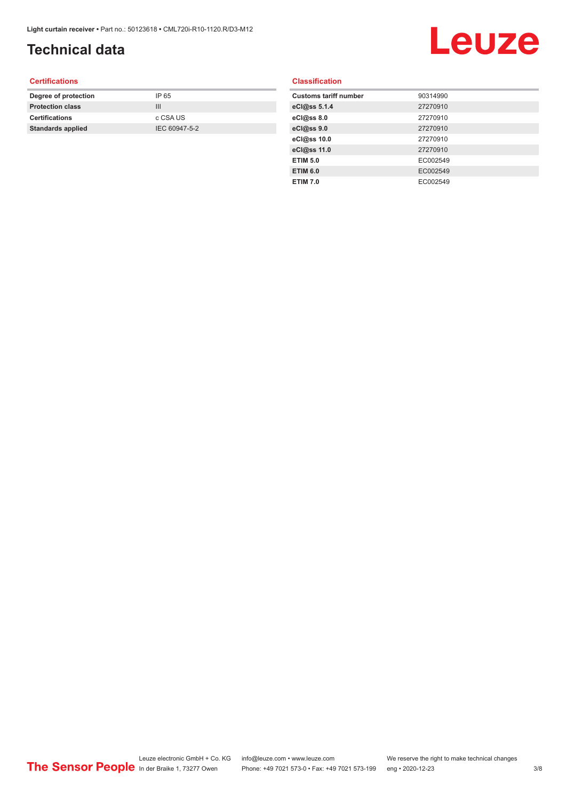### **Technical data**

# Leuze

#### **Certifications**

| Degree of protection     | IP 65         |
|--------------------------|---------------|
| <b>Protection class</b>  | Ш             |
| <b>Certifications</b>    | c CSA US      |
| <b>Standards applied</b> | IEC 60947-5-2 |
|                          |               |

#### **Classification**

| <b>Customs tariff number</b> | 90314990 |
|------------------------------|----------|
| eCl@ss 5.1.4                 | 27270910 |
| eCl@ss 8.0                   | 27270910 |
| eCl@ss 9.0                   | 27270910 |
| eCl@ss 10.0                  | 27270910 |
| eCl@ss 11.0                  | 27270910 |
| <b>ETIM 5.0</b>              | EC002549 |
| <b>ETIM 6.0</b>              | EC002549 |
| <b>ETIM 7.0</b>              | EC002549 |
|                              |          |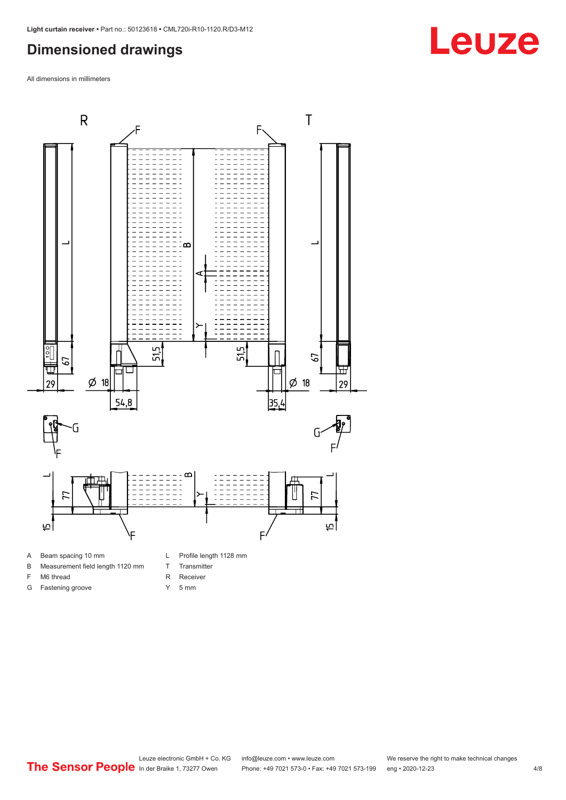#### <span id="page-3-0"></span>**Dimensioned drawings**

All dimensions in millimeters



- B Measurement field length 1120 mm
- F M6 thread

G Fastening groove

- R Receiver
	- Y 5 mm

T Transmitter

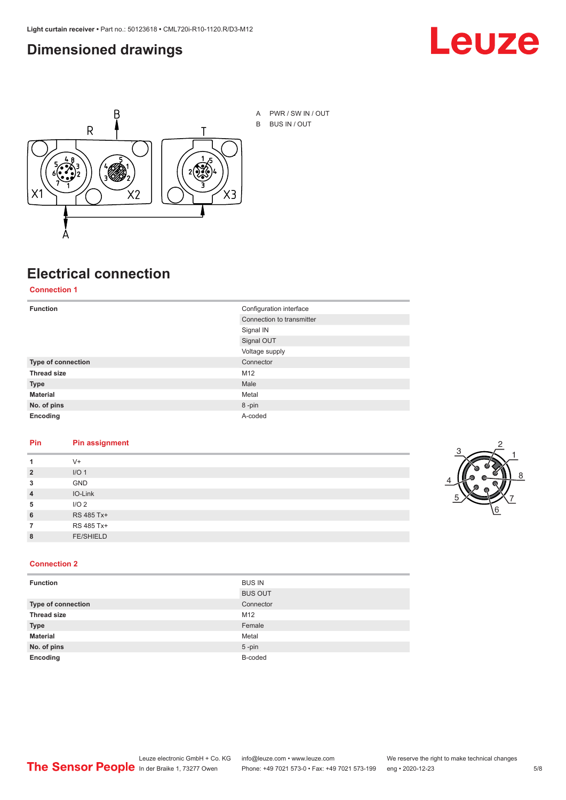#### <span id="page-4-0"></span>**Dimensioned drawings**





A PWR / SW IN / OUT B BUS IN / OUT

## **Electrical connection**

**Connection 1**

| <b>Function</b>    | Configuration interface   |
|--------------------|---------------------------|
|                    | Connection to transmitter |
|                    | Signal IN                 |
|                    | Signal OUT                |
|                    | Voltage supply            |
| Type of connection | Connector                 |
| <b>Thread size</b> | M12                       |
| <b>Type</b>        | Male                      |
| <b>Material</b>    | Metal                     |
| No. of pins        | 8-pin                     |
| Encoding           | A-coded                   |

#### **Pin Pin assignment**

|                | $V +$            |  |  |
|----------------|------------------|--|--|
| $\overline{2}$ | I/O <sub>1</sub> |  |  |
| 3              | <b>GND</b>       |  |  |
| $\overline{4}$ | IO-Link          |  |  |
| 5              | I/O <sub>2</sub> |  |  |
| 6              | RS 485 Tx+       |  |  |
|                | RS 485 Tx+       |  |  |
| 8              | <b>FE/SHIELD</b> |  |  |
|                |                  |  |  |



#### **Connection 2**

| <b>Function</b>    | <b>BUS IN</b>  |
|--------------------|----------------|
|                    | <b>BUS OUT</b> |
| Type of connection | Connector      |
| <b>Thread size</b> | M12            |
| <b>Type</b>        | Female         |
| <b>Material</b>    | Metal          |
| No. of pins        | $5 - pin$      |
| Encoding           | B-coded        |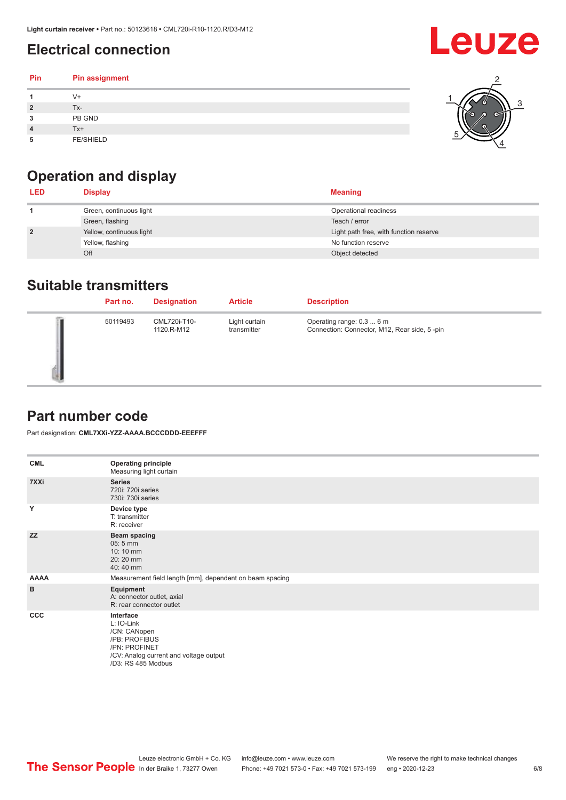### <span id="page-5-0"></span>**Electrical connection**

#### **Pin Pin assignment 1** V+ **2** Tx-**3** PB GND **4** Tx+ **5** FE/SHIELD 3 2 1 5 4

## **Operation and display**

| <b>LED</b>     | <b>Display</b>           | <b>Meaning</b>                         |
|----------------|--------------------------|----------------------------------------|
|                | Green, continuous light  | Operational readiness                  |
|                | Green, flashing          | Teach / error                          |
| $\overline{2}$ | Yellow, continuous light | Light path free, with function reserve |
|                | Yellow, flashing         | No function reserve                    |
|                | Off                      | Object detected                        |

#### **Suitable transmitters**

| Part no. | <b>Designation</b>         | <b>Article</b>               | <b>Description</b>                                                        |
|----------|----------------------------|------------------------------|---------------------------------------------------------------------------|
| 50119493 | CML720i-T10-<br>1120.R-M12 | Light curtain<br>transmitter | Operating range: 0.3  6 m<br>Connection: Connector, M12, Rear side, 5-pin |

#### **Part number code**

Part designation: **CML7XXi-YZZ-AAAA.BCCCDDD-EEEFFF**

| <b>CML</b>  | <b>Operating principle</b><br>Measuring light curtain                                                                                     |
|-------------|-------------------------------------------------------------------------------------------------------------------------------------------|
| 7XXi        | <b>Series</b><br>720i: 720i series<br>730i: 730i series                                                                                   |
| Y           | Device type<br>T: transmitter<br>R: receiver                                                                                              |
| <b>ZZ</b>   | <b>Beam spacing</b><br>$05:5$ mm<br>10:10 mm<br>20:20 mm<br>40:40 mm                                                                      |
| <b>AAAA</b> | Measurement field length [mm], dependent on beam spacing                                                                                  |
| B           | Equipment<br>A: connector outlet, axial<br>R: rear connector outlet                                                                       |
| <b>CCC</b>  | Interface<br>L: IO-Link<br>/CN: CANopen<br>/PB: PROFIBUS<br>/PN: PROFINET<br>/CV: Analog current and voltage output<br>/D3: RS 485 Modbus |

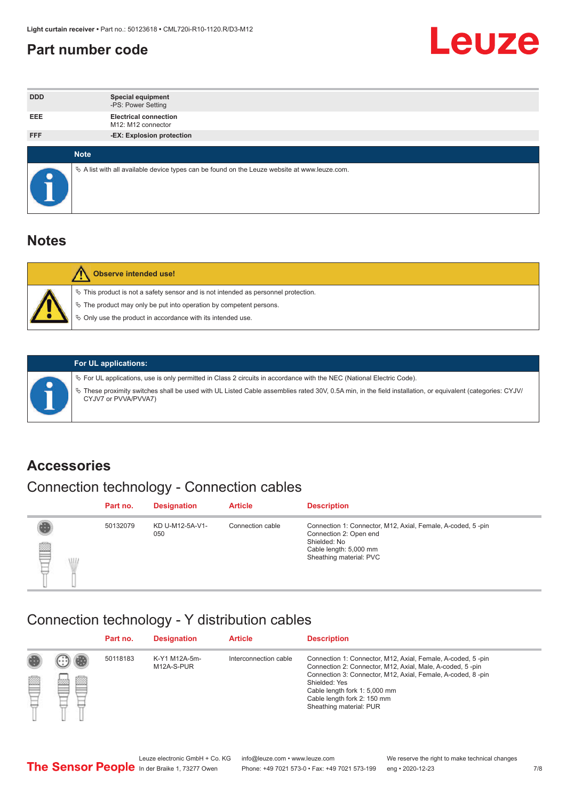#### <span id="page-6-0"></span>**Part number code**



| <b>DDD</b> | <b>Special equipment</b><br>-PS: Power Setting                                                    |
|------------|---------------------------------------------------------------------------------------------------|
| <b>EEE</b> | <b>Electrical connection</b><br>M12: M12 connector                                                |
| <b>FFF</b> | -EX: Explosion protection                                                                         |
|            | <b>Note</b>                                                                                       |
| $\bullet$  | Vector A list with all available device types can be found on the Leuze website at www.leuze.com. |

#### **Notes**

| Observe intended use!                                                                                                                                                                                                      |
|----------------------------------------------------------------------------------------------------------------------------------------------------------------------------------------------------------------------------|
| $\%$ This product is not a safety sensor and is not intended as personnel protection.<br>₹ The product may only be put into operation by competent persons.<br>♦ Only use the product in accordance with its intended use. |



#### **For UL applications:**

ª For UL applications, use is only permitted in Class 2 circuits in accordance with the NEC (National Electric Code). ª These proximity switches shall be used with UL Listed Cable assemblies rated 30V, 0.5A min, in the field installation, or equivalent (categories: CYJV/ CYJV7 or PVVA/PVVA7)

#### **Accessories**

### Connection technology - Connection cables

|        | Part no. | <b>Designation</b>     | <b>Article</b>   | <b>Description</b>                                                                                                                                         |
|--------|----------|------------------------|------------------|------------------------------------------------------------------------------------------------------------------------------------------------------------|
| 2<br>W | 50132079 | KD U-M12-5A-V1-<br>050 | Connection cable | Connection 1: Connector, M12, Axial, Female, A-coded, 5-pin<br>Connection 2: Open end<br>Shielded: No<br>Cable length: 5,000 mm<br>Sheathing material: PVC |

#### Connection technology - Y distribution cables

|   |        | Part no. | <b>Designation</b>          | <b>Article</b>        | <b>Description</b>                                                                                                                                                                                                                                                                                  |
|---|--------|----------|-----------------------------|-----------------------|-----------------------------------------------------------------------------------------------------------------------------------------------------------------------------------------------------------------------------------------------------------------------------------------------------|
| p | ▩<br>m | 50118183 | K-Y1 M12A-5m-<br>M12A-S-PUR | Interconnection cable | Connection 1: Connector, M12, Axial, Female, A-coded, 5-pin<br>Connection 2: Connector, M12, Axial, Male, A-coded, 5-pin<br>Connection 3: Connector, M12, Axial, Female, A-coded, 8-pin<br>Shielded: Yes<br>Cable length fork 1: 5,000 mm<br>Cable length fork 2: 150 mm<br>Sheathing material: PUR |